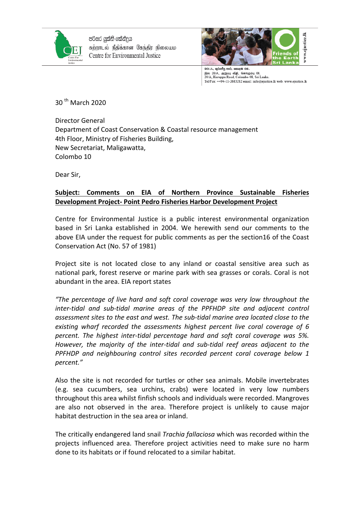

පරිසර යුක්ති කේන්දුය சுற்றாடல் நீதிக்கான கேந்திர நிலையம Centre for Environmental Justice



20/A, කුරුප්පු පාර, කොළඹ 08. இல 20/A, குறுபபு வீதி, கொழும்பு 08.<br>20/A, Kuruppu Road, Colombo 08, Sri Lanka. Tel/Fax: ++94-11-2683282 email: info@ejustice.lk web: www.ejustice.lk

 $30<sup>th</sup>$  March 2020

Director General Department of Coast Conservation & Coastal resource management 4th Floor, Ministry of Fisheries Building, New Secretariat, Maligawatta, Colombo 10

Dear Sir,

## **Subject: Comments on EIA of Northern Province Sustainable Fisheries Development Project- Point Pedro Fisheries Harbor Development Project**

Centre for Environmental Justice is a public interest environmental organization based in Sri Lanka established in 2004. We herewith send our comments to the above EIA under the request for public comments as per the section16 of the Coast Conservation Act (No. 57 of 1981)

Project site is not located close to any inland or coastal sensitive area such as national park, forest reserve or marine park with sea grasses or corals. Coral is not abundant in the area. EIA report states

"The percentage of live hard and soft coral coverage was very low throughout the *inter-tidal and sub-tidal marine areas of the PPFHDP site and adjacent control* assessment sites to the east and west. The sub-tidal marine area located close to the existing wharf recorded the assessments highest percent live coral coverage of 6 percent. The highest inter-tidal percentage hard and soft coral coverage was 5%. However, the majority of the inter-tidal and sub-tidal reef areas adjacent to the *PPFHDP* and neighbouring control sites recorded percent coral coverage below 1 *percent."*

Also the site is not recorded for turtles or other sea animals. Mobile invertebrates (e.g. sea cucumbers, sea urchins, crabs) were located in very low numbers throughout this area whilst finfish schools and individuals were recorded. Mangroves are also not observed in the area. Therefore project is unlikely to cause major habitat destruction in the sea area or inland.

The critically endangered land snail *Trachia fallaciosa* which was recorded within the projects influenced area. Therefore project activities need to make sure no harm done to its habitats or if found relocated to a similar habitat.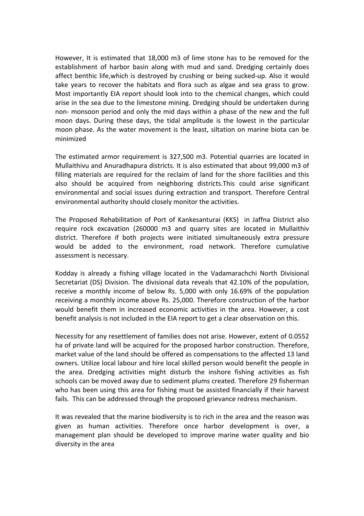However, It is estimated that 18,000 m3 of lime stone has to be removed for the establishment of harbor basin along with mud and sand. Dredging certainly does affect benthic life, which is destroyed by crushing or being sucked-up. Also it would take years to recover the habitats and flora such as algae and sea grass to grow. Most importantly EIA report should look into to the chemical changes, which could arise in the sea due to the limestone mining. Dredging should be undertaken during non- monsoon period and only the mid days within a phase of the new and the full moon days. During these days, the tidal amplitude is the lowest in the particular moon phase. As the water movement is the least, siltation on marine biota can be minimized

The estimated armor requirement is 327,500 m3. Potential quarries are located in Mullaithivu and Anuradhapura districts. It is also estimated that about 99,000 m3 of filling materials are required for the reclaim of land for the shore facilities and this also should be acquired from neighboring districts. This could arise significant environmental and social issues during extraction and transport. Therefore Central environmental authority should closely monitor the activities.

The Proposed Rehabilitation of Port of Kankesanturai (KKS) in Jaffna District also require rock excavation (260000 m3 and quarry sites are located in Mullaithiv district. Therefore if both projects were initiated simultaneously extra pressure would be added to the environment, road network. Therefore cumulative assessment is necessary.

Kodday is already a fishing village located in the Vadamarachchi North Divisional Secretariat (DS) Division. The divisional data reveals that 42.10% of the population, receive a monthly income of below Rs. 5,000 with only 16.69% of the population receiving a monthly income above Rs. 25,000. Therefore construction of the harbor would benefit them in increased economic activities in the area. However, a cost benefit analysis is not included in the EIA report to get a clear observation on this.

Necessity for any resettlement of families does not arise. However, extent of 0.0552 ha of private land will be acquired for the proposed harbor construction. Therefore, market value of the land should be offered as compensations to the affected 13 land owners. Utilize local labour and hire local skilled person would benefit the people in the area. Dredging activities might disturb the inshore fishing activities as fish schools can be moved away due to sediment plums created. Therefore 29 fisherman who has been using this area for fishing must be assisted financially if their harvest fails. This can be addressed through the proposed grievance redress mechanism.

It was revealed that the marine biodiversity is to rich in the area and the reason was given as human activities. Therefore once harbor development is over, a management plan should be developed to improve marine water quality and bio diversity in the area